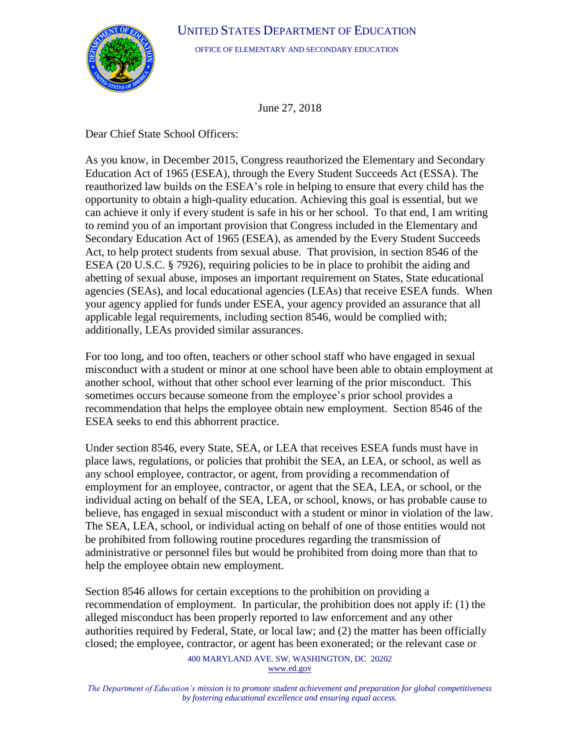

OFFICE OF ELEMENTARY AND SECONDARY EDUCATION

June 27, 2018

Dear Chief State School Officers:

As you know, in December 2015, Congress reauthorized the Elementary and Secondary Education Act of 1965 (ESEA), through the Every Student Succeeds Act (ESSA). The reauthorized law builds on the ESEA's role in helping to ensure that every child has the opportunity to obtain a high-quality education. Achieving this goal is essential, but we can achieve it only if every student is safe in his or her school. To that end, I am writing to remind you of an important provision that Congress included in the Elementary and Secondary Education Act of 1965 (ESEA), as amended by the Every Student Succeeds Act, to help protect students from sexual abuse. That provision, in section 8546 of the ESEA (20 U.S.C. § 7926), requiring policies to be in place to prohibit the aiding and abetting of sexual abuse, imposes an important requirement on States, State educational agencies (SEAs), and local educational agencies (LEAs) that receive ESEA funds. When your agency applied for funds under ESEA, your agency provided an assurance that all applicable legal requirements, including section 8546, would be complied with; additionally, LEAs provided similar assurances.

For too long, and too often, teachers or other school staff who have engaged in sexual misconduct with a student or minor at one school have been able to obtain employment at another school, without that other school ever learning of the prior misconduct. This sometimes occurs because someone from the employee's prior school provides a recommendation that helps the employee obtain new employment. Section 8546 of the ESEA seeks to end this abhorrent practice.

Under section 8546, every State, SEA, or LEA that receives ESEA funds must have in place laws, regulations, or policies that prohibit the SEA, an LEA, or school, as well as any school employee, contractor, or agent, from providing a recommendation of employment for an employee, contractor, or agent that the SEA, LEA, or school, or the individual acting on behalf of the SEA, LEA, or school, knows, or has probable cause to believe, has engaged in sexual misconduct with a student or minor in violation of the law. The SEA, LEA, school, or individual acting on behalf of one of those entities would not be prohibited from following routine procedures regarding the transmission of administrative or personnel files but would be prohibited from doing more than that to help the employee obtain new employment.

Section 8546 allows for certain exceptions to the prohibition on providing a recommendation of employment. In particular, the prohibition does not apply if: (1) the alleged misconduct has been properly reported to law enforcement and any other authorities required by Federal, State, or local law; and (2) the matter has been officially closed; the employee, contractor, or agent has been exonerated; or the relevant case or

> 400 MARYLAND AVE. SW, WASHINGTON, DC 20202 [www.ed.gov](http://www.ed.gov/)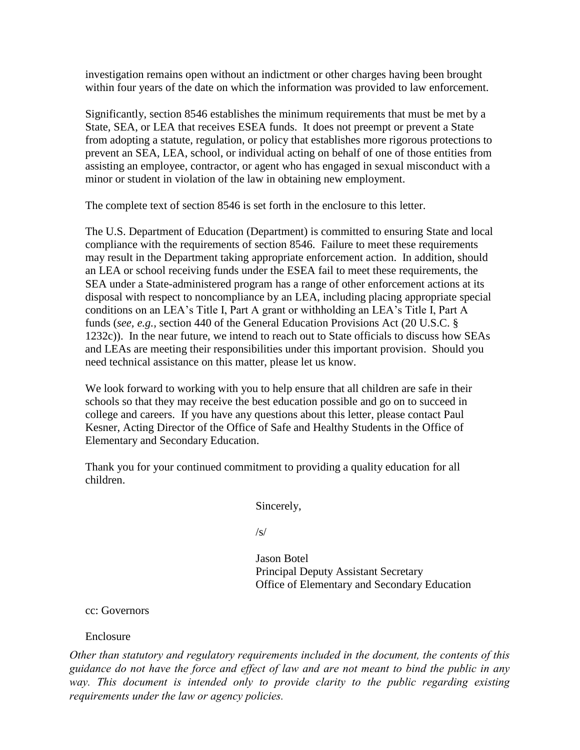investigation remains open without an indictment or other charges having been brought within four years of the date on which the information was provided to law enforcement.

Significantly, section 8546 establishes the minimum requirements that must be met by a State, SEA, or LEA that receives ESEA funds. It does not preempt or prevent a State from adopting a statute, regulation, or policy that establishes more rigorous protections to prevent an SEA, LEA, school, or individual acting on behalf of one of those entities from assisting an employee, contractor, or agent who has engaged in sexual misconduct with a minor or student in violation of the law in obtaining new employment.

The complete text of section 8546 is set forth in the enclosure to this letter.

The U.S. Department of Education (Department) is committed to ensuring State and local compliance with the requirements of section 8546. Failure to meet these requirements may result in the Department taking appropriate enforcement action. In addition, should an LEA or school receiving funds under the ESEA fail to meet these requirements, the SEA under a State-administered program has a range of other enforcement actions at its disposal with respect to noncompliance by an LEA, including placing appropriate special conditions on an LEA's Title I, Part A grant or withholding an LEA's Title I, Part A funds (*see, e.g.,* section 440 of the General Education Provisions Act (20 U.S.C. § 1232c)). In the near future, we intend to reach out to State officials to discuss how SEAs and LEAs are meeting their responsibilities under this important provision. Should you need technical assistance on this matter, please let us know.

We look forward to working with you to help ensure that all children are safe in their schools so that they may receive the best education possible and go on to succeed in college and careers. If you have any questions about this letter, please contact Paul Kesner, Acting Director of the Office of Safe and Healthy Students in the Office of Elementary and Secondary Education.

Thank you for your continued commitment to providing a quality education for all children.

Sincerely,

/s/

Jason Botel Principal Deputy Assistant Secretary Office of Elementary and Secondary Education

cc: Governors

## Enclosure

*Other than statutory and regulatory requirements included in the document, the contents of this guidance do not have the force and effect of law and are not meant to bind the public in any way. This document is intended only to provide clarity to the public regarding existing requirements under the law or agency policies.*